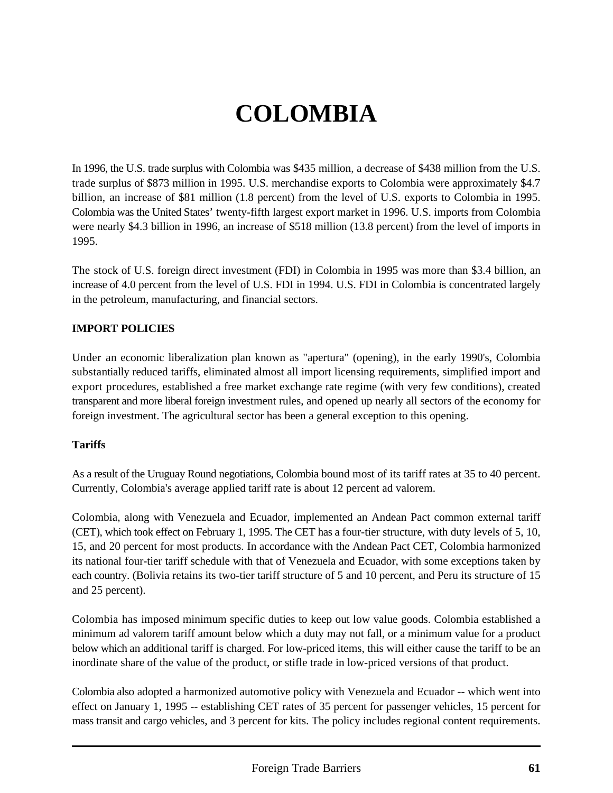# **COLOMBIA**

In 1996, the U.S. trade surplus with Colombia was \$435 million, a decrease of \$438 million from the U.S. trade surplus of \$873 million in 1995. U.S. merchandise exports to Colombia were approximately \$4.7 billion, an increase of \$81 million (1.8 percent) from the level of U.S. exports to Colombia in 1995. Colombia was the United States' twenty-fifth largest export market in 1996. U.S. imports from Colombia were nearly \$4.3 billion in 1996, an increase of \$518 million (13.8 percent) from the level of imports in 1995.

The stock of U.S. foreign direct investment (FDI) in Colombia in 1995 was more than \$3.4 billion, an increase of 4.0 percent from the level of U.S. FDI in 1994. U.S. FDI in Colombia is concentrated largely in the petroleum, manufacturing, and financial sectors.

## **IMPORT POLICIES**

Under an economic liberalization plan known as "apertura" (opening), in the early 1990's, Colombia substantially reduced tariffs, eliminated almost all import licensing requirements, simplified import and export procedures, established a free market exchange rate regime (with very few conditions), created transparent and more liberal foreign investment rules, and opened up nearly all sectors of the economy for foreign investment. The agricultural sector has been a general exception to this opening.

#### **Tariffs**

As a result of the Uruguay Round negotiations, Colombia bound most of its tariff rates at 35 to 40 percent. Currently, Colombia's average applied tariff rate is about 12 percent ad valorem.

Colombia, along with Venezuela and Ecuador, implemented an Andean Pact common external tariff (CET), which took effect on February 1, 1995. The CET has a four-tier structure, with duty levels of 5, 10, 15, and 20 percent for most products. In accordance with the Andean Pact CET, Colombia harmonized its national four-tier tariff schedule with that of Venezuela and Ecuador, with some exceptions taken by each country. (Bolivia retains its two-tier tariff structure of 5 and 10 percent, and Peru its structure of 15 and 25 percent).

Colombia has imposed minimum specific duties to keep out low value goods. Colombia established a minimum ad valorem tariff amount below which a duty may not fall, or a minimum value for a product below which an additional tariff is charged. For low-priced items, this will either cause the tariff to be an inordinate share of the value of the product, or stifle trade in low-priced versions of that product.

Colombia also adopted a harmonized automotive policy with Venezuela and Ecuador -- which went into effect on January 1, 1995 -- establishing CET rates of 35 percent for passenger vehicles, 15 percent for mass transit and cargo vehicles, and 3 percent for kits. The policy includes regional content requirements.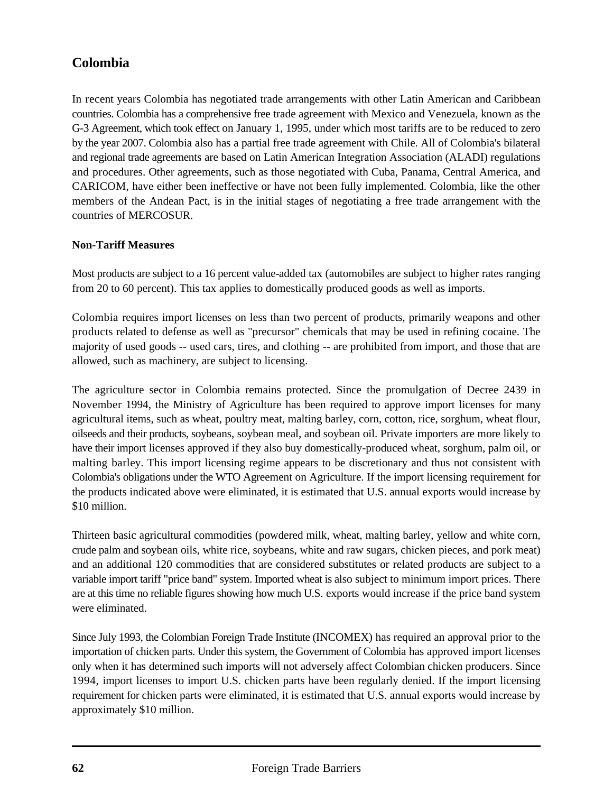In recent years Colombia has negotiated trade arrangements with other Latin American and Caribbean countries. Colombia has a comprehensive free trade agreement with Mexico and Venezuela, known as the G-3 Agreement, which took effect on January 1, 1995, under which most tariffs are to be reduced to zero by the year 2007. Colombia also has a partial free trade agreement with Chile. All of Colombia's bilateral and regional trade agreements are based on Latin American Integration Association (ALADI) regulations and procedures. Other agreements, such as those negotiated with Cuba, Panama, Central America, and CARICOM, have either been ineffective or have not been fully implemented. Colombia, like the other members of the Andean Pact, is in the initial stages of negotiating a free trade arrangement with the countries of MERCOSUR.

## **Non-Tariff Measures**

Most products are subject to a 16 percent value-added tax (automobiles are subject to higher rates ranging from 20 to 60 percent). This tax applies to domestically produced goods as well as imports.

Colombia requires import licenses on less than two percent of products, primarily weapons and other products related to defense as well as "precursor" chemicals that may be used in refining cocaine. The majority of used goods -- used cars, tires, and clothing -- are prohibited from import, and those that are allowed, such as machinery, are subject to licensing.

The agriculture sector in Colombia remains protected. Since the promulgation of Decree 2439 in November 1994, the Ministry of Agriculture has been required to approve import licenses for many agricultural items, such as wheat, poultry meat, malting barley, corn, cotton, rice, sorghum, wheat flour, oilseeds and their products, soybeans, soybean meal, and soybean oil. Private importers are more likely to have their import licenses approved if they also buy domestically-produced wheat, sorghum, palm oil, or malting barley. This import licensing regime appears to be discretionary and thus not consistent with Colombia's obligations under the WTO Agreement on Agriculture. If the import licensing requirement for the products indicated above were eliminated, it is estimated that U.S. annual exports would increase by \$10 million.

Thirteen basic agricultural commodities (powdered milk, wheat, malting barley, yellow and white corn, crude palm and soybean oils, white rice, soybeans, white and raw sugars, chicken pieces, and pork meat) and an additional 120 commodities that are considered substitutes or related products are subject to a variable import tariff "price band" system. Imported wheat is also subject to minimum import prices. There are at this time no reliable figures showing how much U.S. exports would increase if the price band system were eliminated.

Since July 1993, the Colombian Foreign Trade Institute (INCOMEX) has required an approval prior to the importation of chicken parts. Under this system, the Government of Colombia has approved import licenses only when it has determined such imports will not adversely affect Colombian chicken producers. Since 1994, import licenses to import U.S. chicken parts have been regularly denied. If the import licensing requirement for chicken parts were eliminated, it is estimated that U.S. annual exports would increase by approximately \$10 million.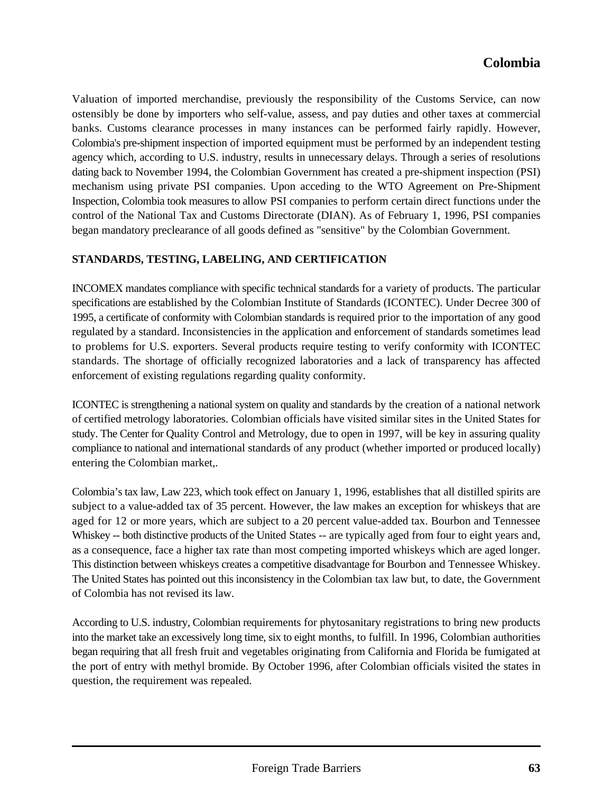Valuation of imported merchandise, previously the responsibility of the Customs Service, can now ostensibly be done by importers who self-value, assess, and pay duties and other taxes at commercial banks. Customs clearance processes in many instances can be performed fairly rapidly. However, Colombia's pre-shipment inspection of imported equipment must be performed by an independent testing agency which, according to U.S. industry, results in unnecessary delays. Through a series of resolutions dating back to November 1994, the Colombian Government has created a pre-shipment inspection (PSI) mechanism using private PSI companies. Upon acceding to the WTO Agreement on Pre-Shipment Inspection, Colombia took measures to allow PSI companies to perform certain direct functions under the control of the National Tax and Customs Directorate (DIAN). As of February 1, 1996, PSI companies began mandatory preclearance of all goods defined as "sensitive" by the Colombian Government.

#### **STANDARDS, TESTING, LABELING, AND CERTIFICATION**

INCOMEX mandates compliance with specific technical standards for a variety of products. The particular specifications are established by the Colombian Institute of Standards (ICONTEC). Under Decree 300 of 1995, a certificate of conformity with Colombian standards is required prior to the importation of any good regulated by a standard. Inconsistencies in the application and enforcement of standards sometimes lead to problems for U.S. exporters. Several products require testing to verify conformity with ICONTEC standards. The shortage of officially recognized laboratories and a lack of transparency has affected enforcement of existing regulations regarding quality conformity.

ICONTEC is strengthening a national system on quality and standards by the creation of a national network of certified metrology laboratories. Colombian officials have visited similar sites in the United States for study. The Center for Quality Control and Metrology, due to open in 1997, will be key in assuring quality compliance to national and international standards of any product (whether imported or produced locally) entering the Colombian market,.

Colombia's tax law, Law 223, which took effect on January 1, 1996, establishes that all distilled spirits are subject to a value-added tax of 35 percent. However, the law makes an exception for whiskeys that are aged for 12 or more years, which are subject to a 20 percent value-added tax. Bourbon and Tennessee Whiskey -- both distinctive products of the United States -- are typically aged from four to eight years and, as a consequence, face a higher tax rate than most competing imported whiskeys which are aged longer. This distinction between whiskeys creates a competitive disadvantage for Bourbon and Tennessee Whiskey. The United States has pointed out this inconsistency in the Colombian tax law but, to date, the Government of Colombia has not revised its law.

According to U.S. industry, Colombian requirements for phytosanitary registrations to bring new products into the market take an excessively long time, six to eight months, to fulfill. In 1996, Colombian authorities began requiring that all fresh fruit and vegetables originating from California and Florida be fumigated at the port of entry with methyl bromide. By October 1996, after Colombian officials visited the states in question, the requirement was repealed.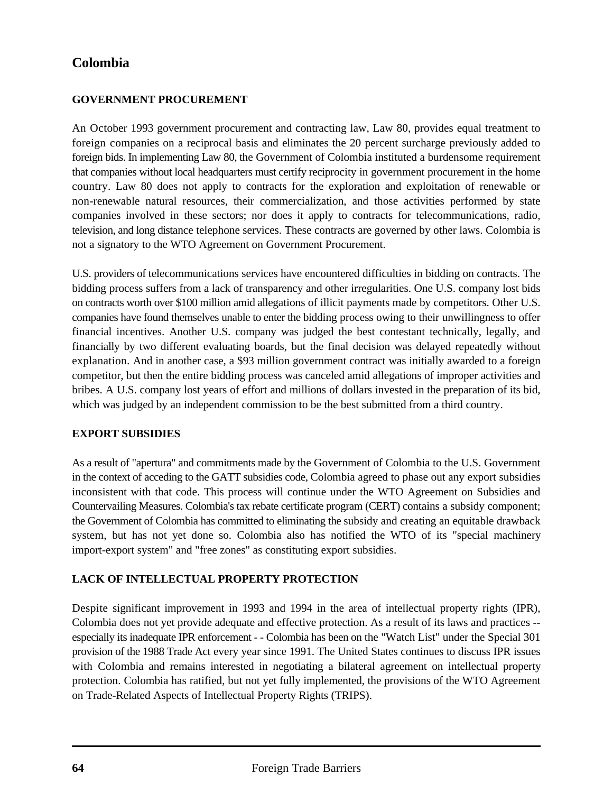## **GOVERNMENT PROCUREMENT**

An October 1993 government procurement and contracting law, Law 80, provides equal treatment to foreign companies on a reciprocal basis and eliminates the 20 percent surcharge previously added to foreign bids. In implementing Law 80, the Government of Colombia instituted a burdensome requirement that companies without local headquarters must certify reciprocity in government procurement in the home country. Law 80 does not apply to contracts for the exploration and exploitation of renewable or non-renewable natural resources, their commercialization, and those activities performed by state companies involved in these sectors; nor does it apply to contracts for telecommunications, radio, television, and long distance telephone services. These contracts are governed by other laws. Colombia is not a signatory to the WTO Agreement on Government Procurement.

U.S. providers of telecommunications services have encountered difficulties in bidding on contracts. The bidding process suffers from a lack of transparency and other irregularities. One U.S. company lost bids on contracts worth over \$100 million amid allegations of illicit payments made by competitors. Other U.S. companies have found themselves unable to enter the bidding process owing to their unwillingness to offer financial incentives. Another U.S. company was judged the best contestant technically, legally, and financially by two different evaluating boards, but the final decision was delayed repeatedly without explanation. And in another case, a \$93 million government contract was initially awarded to a foreign competitor, but then the entire bidding process was canceled amid allegations of improper activities and bribes. A U.S. company lost years of effort and millions of dollars invested in the preparation of its bid, which was judged by an independent commission to be the best submitted from a third country.

#### **EXPORT SUBSIDIES**

As a result of "apertura" and commitments made by the Government of Colombia to the U.S. Government in the context of acceding to the GATT subsidies code, Colombia agreed to phase out any export subsidies inconsistent with that code. This process will continue under the WTO Agreement on Subsidies and Countervailing Measures. Colombia's tax rebate certificate program (CERT) contains a subsidy component; the Government of Colombia has committed to eliminating the subsidy and creating an equitable drawback system, but has not yet done so. Colombia also has notified the WTO of its "special machinery import-export system" and "free zones" as constituting export subsidies.

#### **LACK OF INTELLECTUAL PROPERTY PROTECTION**

Despite significant improvement in 1993 and 1994 in the area of intellectual property rights (IPR), Colombia does not yet provide adequate and effective protection. As a result of its laws and practices - especially its inadequate IPR enforcement - - Colombia has been on the "Watch List" under the Special 301 provision of the 1988 Trade Act every year since 1991. The United States continues to discuss IPR issues with Colombia and remains interested in negotiating a bilateral agreement on intellectual property protection. Colombia has ratified, but not yet fully implemented, the provisions of the WTO Agreement on Trade-Related Aspects of Intellectual Property Rights (TRIPS).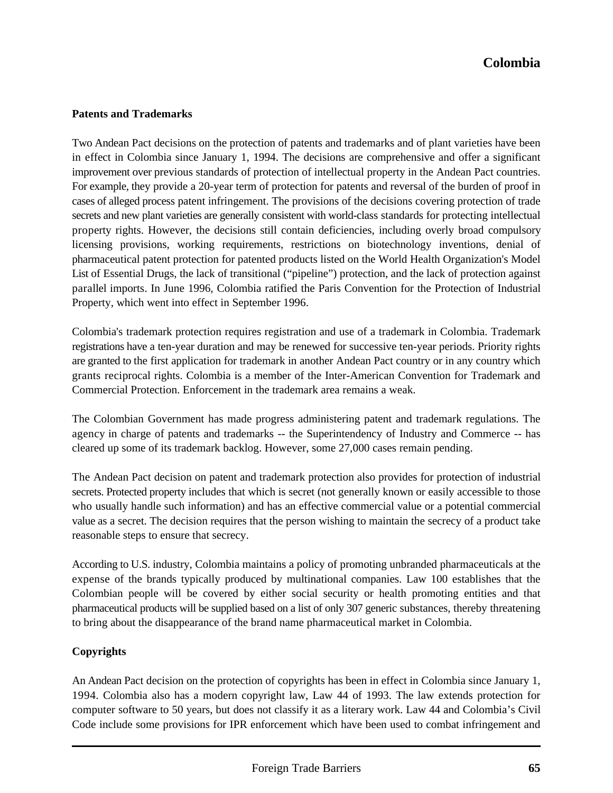#### **Patents and Trademarks**

Two Andean Pact decisions on the protection of patents and trademarks and of plant varieties have been in effect in Colombia since January 1, 1994. The decisions are comprehensive and offer a significant improvement over previous standards of protection of intellectual property in the Andean Pact countries. For example, they provide a 20-year term of protection for patents and reversal of the burden of proof in cases of alleged process patent infringement. The provisions of the decisions covering protection of trade secrets and new plant varieties are generally consistent with world-class standards for protecting intellectual property rights. However, the decisions still contain deficiencies, including overly broad compulsory licensing provisions, working requirements, restrictions on biotechnology inventions, denial of pharmaceutical patent protection for patented products listed on the World Health Organization's Model List of Essential Drugs, the lack of transitional ("pipeline") protection, and the lack of protection against parallel imports. In June 1996, Colombia ratified the Paris Convention for the Protection of Industrial Property, which went into effect in September 1996.

Colombia's trademark protection requires registration and use of a trademark in Colombia. Trademark registrations have a ten-year duration and may be renewed for successive ten-year periods. Priority rights are granted to the first application for trademark in another Andean Pact country or in any country which grants reciprocal rights. Colombia is a member of the Inter-American Convention for Trademark and Commercial Protection. Enforcement in the trademark area remains a weak.

The Colombian Government has made progress administering patent and trademark regulations. The agency in charge of patents and trademarks -- the Superintendency of Industry and Commerce -- has cleared up some of its trademark backlog. However, some 27,000 cases remain pending.

The Andean Pact decision on patent and trademark protection also provides for protection of industrial secrets. Protected property includes that which is secret (not generally known or easily accessible to those who usually handle such information) and has an effective commercial value or a potential commercial value as a secret. The decision requires that the person wishing to maintain the secrecy of a product take reasonable steps to ensure that secrecy.

According to U.S. industry, Colombia maintains a policy of promoting unbranded pharmaceuticals at the expense of the brands typically produced by multinational companies. Law 100 establishes that the Colombian people will be covered by either social security or health promoting entities and that pharmaceutical products will be supplied based on a list of only 307 generic substances, thereby threatening to bring about the disappearance of the brand name pharmaceutical market in Colombia.

#### **Copyrights**

An Andean Pact decision on the protection of copyrights has been in effect in Colombia since January 1, 1994. Colombia also has a modern copyright law, Law 44 of 1993. The law extends protection for computer software to 50 years, but does not classify it as a literary work. Law 44 and Colombia's Civil Code include some provisions for IPR enforcement which have been used to combat infringement and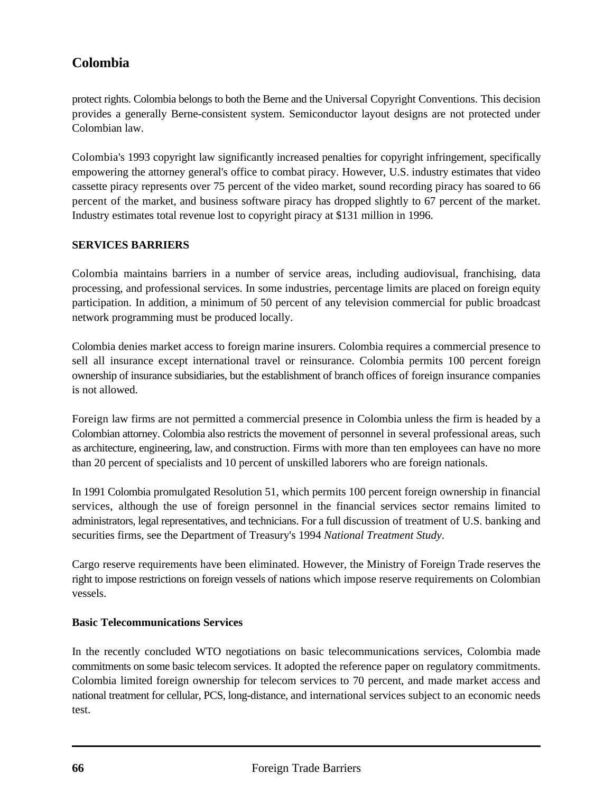protect rights. Colombia belongs to both the Berne and the Universal Copyright Conventions. This decision provides a generally Berne-consistent system. Semiconductor layout designs are not protected under Colombian law.

Colombia's 1993 copyright law significantly increased penalties for copyright infringement, specifically empowering the attorney general's office to combat piracy. However, U.S. industry estimates that video cassette piracy represents over 75 percent of the video market, sound recording piracy has soared to 66 percent of the market, and business software piracy has dropped slightly to 67 percent of the market. Industry estimates total revenue lost to copyright piracy at \$131 million in 1996.

#### **SERVICES BARRIERS**

Colombia maintains barriers in a number of service areas, including audiovisual, franchising, data processing, and professional services. In some industries, percentage limits are placed on foreign equity participation. In addition, a minimum of 50 percent of any television commercial for public broadcast network programming must be produced locally.

Colombia denies market access to foreign marine insurers. Colombia requires a commercial presence to sell all insurance except international travel or reinsurance. Colombia permits 100 percent foreign ownership of insurance subsidiaries, but the establishment of branch offices of foreign insurance companies is not allowed.

Foreign law firms are not permitted a commercial presence in Colombia unless the firm is headed by a Colombian attorney. Colombia also restricts the movement of personnel in several professional areas, such as architecture, engineering, law, and construction. Firms with more than ten employees can have no more than 20 percent of specialists and 10 percent of unskilled laborers who are foreign nationals.

In 1991 Colombia promulgated Resolution 51, which permits 100 percent foreign ownership in financial services, although the use of foreign personnel in the financial services sector remains limited to administrators, legal representatives, and technicians. For a full discussion of treatment of U.S. banking and securities firms, see the Department of Treasury's 1994 *National Treatment Study*.

Cargo reserve requirements have been eliminated. However, the Ministry of Foreign Trade reserves the right to impose restrictions on foreign vessels of nations which impose reserve requirements on Colombian vessels.

#### **Basic Telecommunications Services**

In the recently concluded WTO negotiations on basic telecommunications services, Colombia made commitments on some basic telecom services. It adopted the reference paper on regulatory commitments. Colombia limited foreign ownership for telecom services to 70 percent, and made market access and national treatment for cellular, PCS, long-distance, and international services subject to an economic needs test.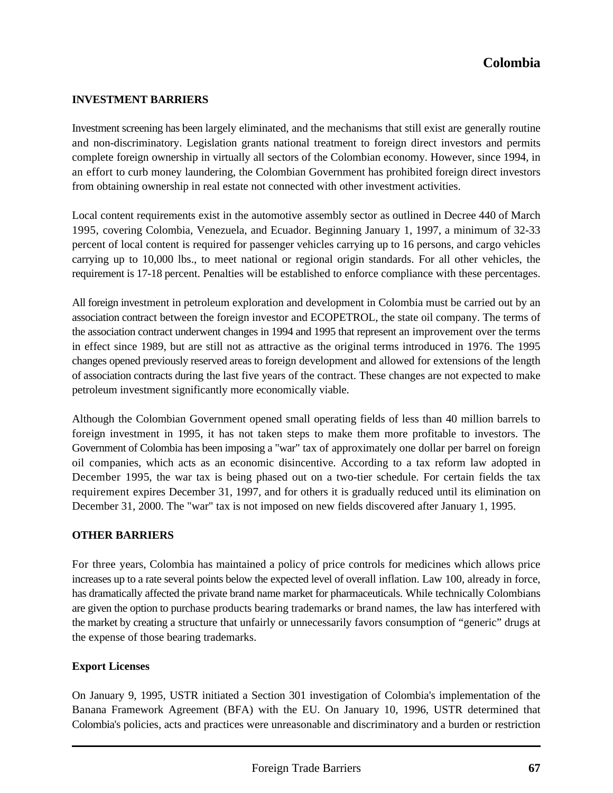#### **INVESTMENT BARRIERS**

Investment screening has been largely eliminated, and the mechanisms that still exist are generally routine and non-discriminatory. Legislation grants national treatment to foreign direct investors and permits complete foreign ownership in virtually all sectors of the Colombian economy. However, since 1994, in an effort to curb money laundering, the Colombian Government has prohibited foreign direct investors from obtaining ownership in real estate not connected with other investment activities.

Local content requirements exist in the automotive assembly sector as outlined in Decree 440 of March 1995, covering Colombia, Venezuela, and Ecuador. Beginning January 1, 1997, a minimum of 32-33 percent of local content is required for passenger vehicles carrying up to 16 persons, and cargo vehicles carrying up to 10,000 lbs., to meet national or regional origin standards. For all other vehicles, the requirement is 17-18 percent. Penalties will be established to enforce compliance with these percentages.

All foreign investment in petroleum exploration and development in Colombia must be carried out by an association contract between the foreign investor and ECOPETROL, the state oil company. The terms of the association contract underwent changes in 1994 and 1995 that represent an improvement over the terms in effect since 1989, but are still not as attractive as the original terms introduced in 1976. The 1995 changes opened previously reserved areas to foreign development and allowed for extensions of the length of association contracts during the last five years of the contract. These changes are not expected to make petroleum investment significantly more economically viable.

Although the Colombian Government opened small operating fields of less than 40 million barrels to foreign investment in 1995, it has not taken steps to make them more profitable to investors. The Government of Colombia has been imposing a "war" tax of approximately one dollar per barrel on foreign oil companies, which acts as an economic disincentive. According to a tax reform law adopted in December 1995, the war tax is being phased out on a two-tier schedule. For certain fields the tax requirement expires December 31, 1997, and for others it is gradually reduced until its elimination on December 31, 2000. The "war" tax is not imposed on new fields discovered after January 1, 1995.

#### **OTHER BARRIERS**

For three years, Colombia has maintained a policy of price controls for medicines which allows price increases up to a rate several points below the expected level of overall inflation. Law 100, already in force, has dramatically affected the private brand name market for pharmaceuticals. While technically Colombians are given the option to purchase products bearing trademarks or brand names, the law has interfered with the market by creating a structure that unfairly or unnecessarily favors consumption of "generic" drugs at the expense of those bearing trademarks.

#### **Export Licenses**

On January 9, 1995, USTR initiated a Section 301 investigation of Colombia's implementation of the Banana Framework Agreement (BFA) with the EU. On January 10, 1996, USTR determined that Colombia's policies, acts and practices were unreasonable and discriminatory and a burden or restriction